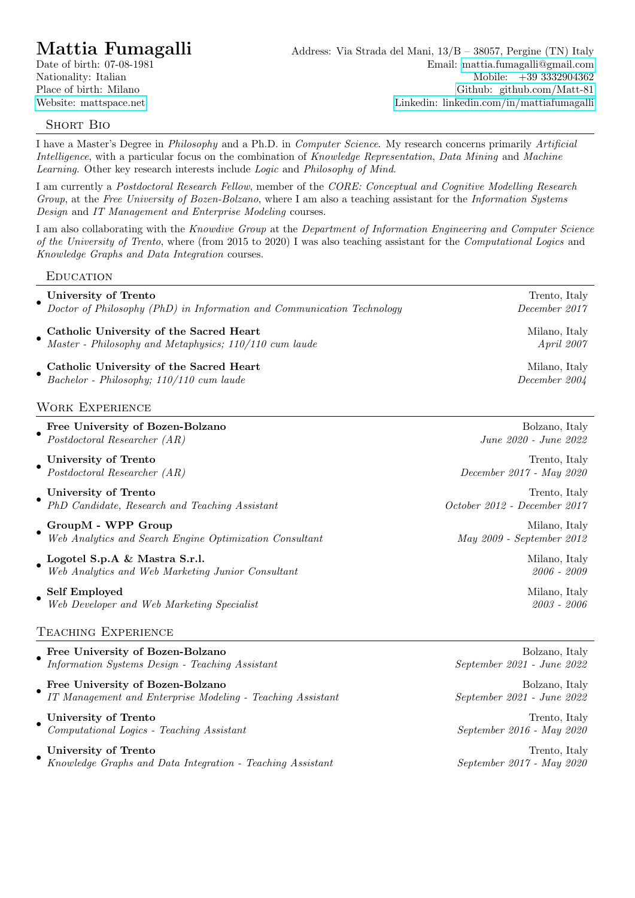# SHORT BIO

I have a Master's Degree in Philosophy and a Ph.D. in Computer Science. My research concerns primarily Artificial Intelligence, with a particular focus on the combination of Knowledge Representation, Data Mining and Machine Learning. Other key research interests include Logic and Philosophy of Mind.

I am currently a Postdoctoral Research Fellow, member of the CORE: Conceptual and Cognitive Modelling Research Group, at the Free University of Bozen-Bolzano, where I am also a teaching assistant for the Information Systems Design and IT Management and Enterprise Modeling courses.

I am also collaborating with the Knowdive Group at the Department of Information Engineering and Computer Science of the University of Trento, where (from 2015 to 2020) I was also teaching assistant for the Computational Logics and Knowledge Graphs and Data Integration courses.

## **EDUCATION**

|                        | University of Trento<br>Doctor of Philosophy (PhD) in Information and Communication Technology    | Trento, Italy<br>December 2017          |
|------------------------|---------------------------------------------------------------------------------------------------|-----------------------------------------|
|                        | Catholic University of the Sacred Heart<br>Master - Philosophy and Metaphysics; 110/110 cum laude | Milano, Italy<br>April 2007             |
|                        | Catholic University of the Sacred Heart<br>Bachelor - Philosophy; 110/110 cum laude               | Milano, Italy<br>December 2004          |
| <b>WORK EXPERIENCE</b> |                                                                                                   |                                         |
|                        | Free University of Bozen-Bolzano<br>Postdoctoral Researcher $(AR)$                                | Bolzano, Italy<br>June 2020 - June 2022 |

• University of Trento Trento Trento, Italy Postdoctoral Researcher (AR) December 2017 - May 2020 • University of Trento Trento Trento Trento, Italy PhD Candidate, Research and Teaching Assistant October 2012 - December 2017 • GroupM - WPP Group Milano, Italy Web Analytics and Search Engine Optimization Consultant May 2009 - September 2012 • Logotel S.p.A & Mastra S.r.l. Milano, Italy Web Analytics and Web Marketing Junior Consultant 2006 - 2009 • Self Employed Milano, Italy Web Developer and Web Marketing Specialist 2003 - 2006

## Teaching Experience

|  | Free University of Bozen-Bolzano                                                               | Bolzano, Italy                               |
|--|------------------------------------------------------------------------------------------------|----------------------------------------------|
|  | Information Systems Design - Teaching Assistant                                                | September 2021 - June 2022                   |
|  | Free University of Bozen-Bolzano<br>IT Management and Enterprise Modeling - Teaching Assistant | Bolzano, Italy<br>September 2021 - June 2022 |
|  | University of Trento<br>Computational Logics - Teaching Assistant                              | Trento, Italy<br>September 2016 - May 2020   |
|  | University of Trento                                                                           | Trento, Italy                                |

• Knowledge Graphs and Data Integration - Teaching Assistant September 2017 - May 2020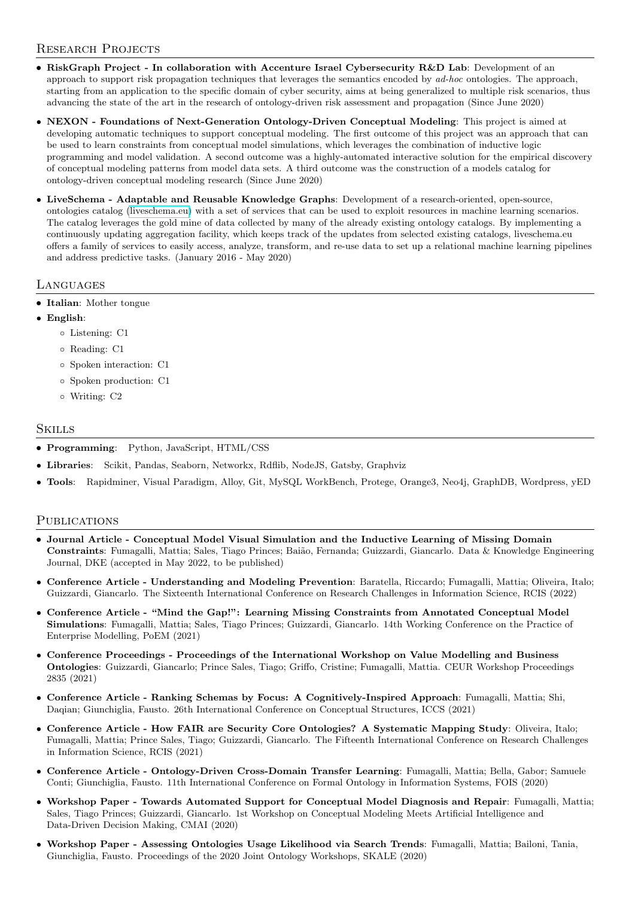## RESEARCH PROJECTS

- RiskGraph Project In collaboration with Accenture Israel Cybersecurity R&D Lab: Development of an approach to support risk propagation techniques that leverages the semantics encoded by ad-hoc ontologies. The approach, starting from an application to the specific domain of cyber security, aims at being generalized to multiple risk scenarios, thus advancing the state of the art in the research of ontology-driven risk assessment and propagation (Since June 2020)
- NEXON Foundations of Next-Generation Ontology-Driven Conceptual Modeling: This project is aimed at developing automatic techniques to support conceptual modeling. The first outcome of this project was an approach that can be used to learn constraints from conceptual model simulations, which leverages the combination of inductive logic programming and model validation. A second outcome was a highly-automated interactive solution for the empirical discovery of conceptual modeling patterns from model data sets. A third outcome was the construction of a models catalog for ontology-driven conceptual modeling research (Since June 2020)
- LiveSchema Adaptable and Reusable Knowledge Graphs: Development of a research-oriented, open-source, ontologies catalog [\(liveschema.eu\)](http://liveschema.eu/) with a set of services that can be used to exploit resources in machine learning scenarios. The catalog leverages the gold mine of data collected by many of the already existing ontology catalogs. By implementing a continuously updating aggregation facility, which keeps track of the updates from selected existing catalogs, liveschema.eu offers a family of services to easily access, analyze, transform, and re-use data to set up a relational machine learning pipelines and address predictive tasks. (January 2016 - May 2020)

## **LANGUAGES**

- Italian: Mother tongue
- English:
	- Listening: C1
	- Reading: C1
	- Spoken interaction: C1
	- Spoken production: C1
	- Writing: C2

## **SKILLS**

- Programming: Python, JavaScript, HTML/CSS
- Libraries: Scikit, Pandas, Seaborn, Networkx, Rdflib, NodeJS, Gatsby, Graphviz
- Tools: Rapidminer, Visual Paradigm, Alloy, Git, MySQL WorkBench, Protege, Orange3, Neo4j, GraphDB, Wordpress, yED

## PUBLICATIONS

- Journal Article Conceptual Model Visual Simulation and the Inductive Learning of Missing Domain Constraints: Fumagalli, Mattia; Sales, Tiago Princes; Bai˜ao, Fernanda; Guizzardi, Giancarlo. Data & Knowledge Engineering Journal, DKE (accepted in May 2022, to be published)
- Conference Article Understanding and Modeling Prevention: Baratella, Riccardo; Fumagalli, Mattia; Oliveira, Italo; Guizzardi, Giancarlo. The Sixteenth International Conference on Research Challenges in Information Science, RCIS (2022)
- Conference Article "Mind the Gap!": Learning Missing Constraints from Annotated Conceptual Model Simulations: Fumagalli, Mattia; Sales, Tiago Princes; Guizzardi, Giancarlo. 14th Working Conference on the Practice of Enterprise Modelling, PoEM (2021)
- Conference Proceedings Proceedings of the International Workshop on Value Modelling and Business Ontologies: Guizzardi, Giancarlo; Prince Sales, Tiago; Griffo, Cristine; Fumagalli, Mattia. CEUR Workshop Proceedings 2835 (2021)
- Conference Article Ranking Schemas by Focus: A Cognitively-Inspired Approach: Fumagalli, Mattia; Shi, Daqian; Giunchiglia, Fausto. 26th International Conference on Conceptual Structures, ICCS (2021)
- Conference Article How FAIR are Security Core Ontologies? A Systematic Mapping Study: Oliveira, Italo; Fumagalli, Mattia; Prince Sales, Tiago; Guizzardi, Giancarlo. The Fifteenth International Conference on Research Challenges in Information Science, RCIS (2021)
- Conference Article Ontology-Driven Cross-Domain Transfer Learning: Fumagalli, Mattia; Bella, Gabor; Samuele Conti; Giunchiglia, Fausto. 11th International Conference on Formal Ontology in Information Systems, FOIS (2020)
- Workshop Paper Towards Automated Support for Conceptual Model Diagnosis and Repair: Fumagalli, Mattia; Sales, Tiago Princes; Guizzardi, Giancarlo. 1st Workshop on Conceptual Modeling Meets Artificial Intelligence and Data-Driven Decision Making, CMAI (2020)
- Workshop Paper Assessing Ontologies Usage Likelihood via Search Trends: Fumagalli, Mattia; Bailoni, Tania, Giunchiglia, Fausto. Proceedings of the 2020 Joint Ontology Workshops, SKALE (2020)